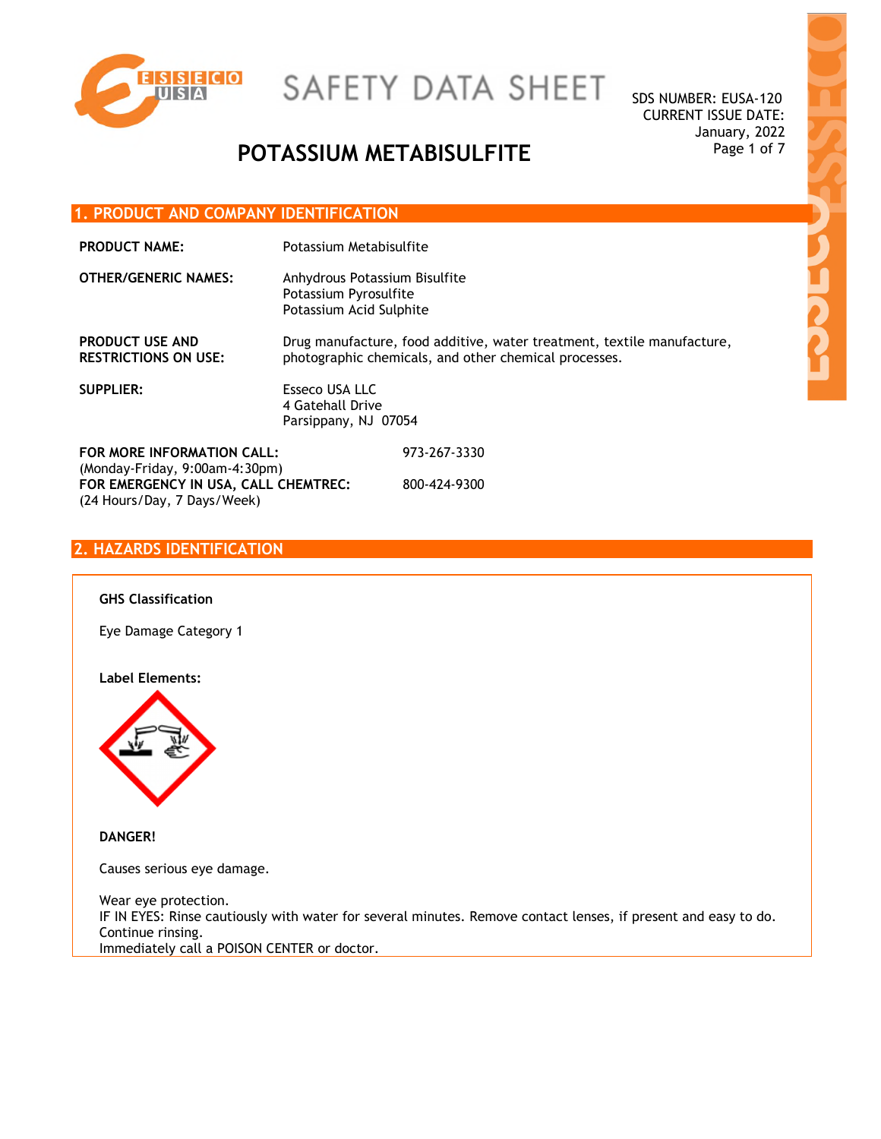

SAFETY DATA SHEET

SDS NUMBER: EUSA-120 CURRENT ISSUE DATE: January, 2022

## **POTASSIUM METABISULFITE** Page 1 of 7

#### **1. PRODUCT AND COMPANY IDENTIFICATION**

| <b>PRODUCT NAME:</b>                                           | Potassium Metabisulfite |                                                                                                                                 |  |  |
|----------------------------------------------------------------|-------------------------|---------------------------------------------------------------------------------------------------------------------------------|--|--|
| <b>OTHER/GENERIC NAMES:</b>                                    |                         | Anhydrous Potassium Bisulfite<br>Potassium Pyrosulfite<br>Potassium Acid Sulphite                                               |  |  |
| <b>PRODUCT USE AND</b><br><b>RESTRICTIONS ON USE:</b>          |                         | Drug manufacture, food additive, water treatment, textile manufacture,<br>photographic chemicals, and other chemical processes. |  |  |
| <b>SUPPLIER:</b>                                               |                         | Esseco USA LLC<br>4 Gatehall Drive<br>Parsippany, NJ 07054                                                                      |  |  |
| FOR MORE INFORMATION CALL:<br>$(Monday-Fridav, 9:00am-4:30pm)$ |                         | 973-267-3330                                                                                                                    |  |  |
| FOR EMERGENCY IN USA, CALL CHEMTREC:                           |                         | 800-424-9300                                                                                                                    |  |  |

#### **2. HAZARDS IDENTIFICATION**

(24 Hours/Day, 7 Days/Week)

#### **GHS Classification**

Eye Damage Category 1

**Label Elements:** 



**DANGER!** 

Causes serious eye damage.

Wear eye protection. IF IN EYES: Rinse cautiously with water for several minutes. Remove contact lenses, if present and easy to do. Continue rinsing. Immediately call a POISON CENTER or doctor.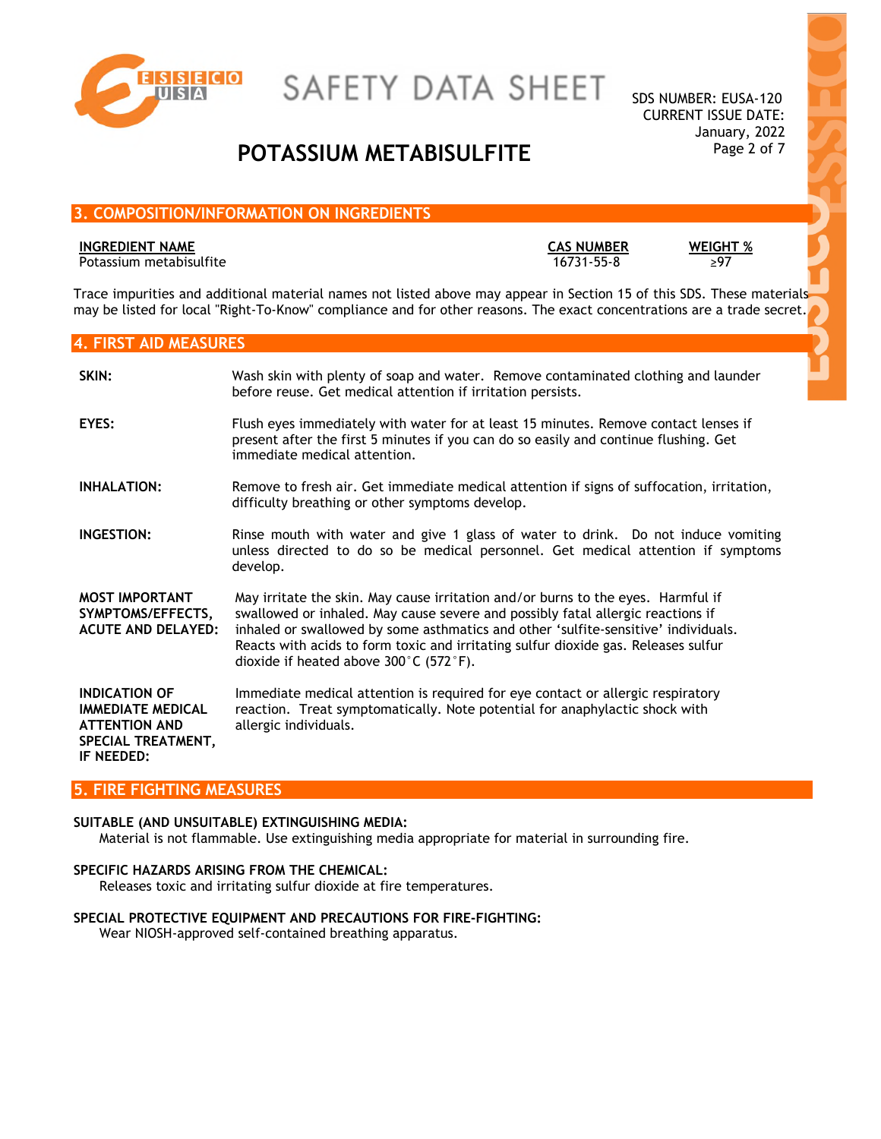

SAFETY DATA SHEET

SDS NUMBER: EUSA-120 CURRENT ISSUE DATE: January, 2022

## **POTASSIUM METABISULFITE** Page 2 of 7

#### **3. COMPOSITION/INFORMATION ON INGREDIENTS**

#### **INGREDIENT NAME CAS NUMBER WEIGHT %**

Potassium metabisulfite

Trace impurities and additional material names not listed above may appear in Section 15 of this SDS. These materials may be listed for local "Right-To-Know" compliance and for other reasons. The exact concentrations are a trade secret.

#### **4. FIRST AID MEASURES**

| SKIN:                                                                                                        | Wash skin with plenty of soap and water. Remove contaminated clothing and launder<br>before reuse. Get medical attention if irritation persists.                                                                                                                                                                                                                                                               |
|--------------------------------------------------------------------------------------------------------------|----------------------------------------------------------------------------------------------------------------------------------------------------------------------------------------------------------------------------------------------------------------------------------------------------------------------------------------------------------------------------------------------------------------|
| EYES:                                                                                                        | Flush eyes immediately with water for at least 15 minutes. Remove contact lenses if<br>present after the first 5 minutes if you can do so easily and continue flushing. Get<br>immediate medical attention.                                                                                                                                                                                                    |
| <b>INHALATION:</b>                                                                                           | Remove to fresh air. Get immediate medical attention if signs of suffocation, irritation,<br>difficulty breathing or other symptoms develop.                                                                                                                                                                                                                                                                   |
| INGESTION:                                                                                                   | Rinse mouth with water and give 1 glass of water to drink. Do not induce vomiting<br>unless directed to do so be medical personnel. Get medical attention if symptoms<br>develop.                                                                                                                                                                                                                              |
| <b>MOST IMPORTANT</b><br>SYMPTOMS/EFFECTS,<br><b>ACUTE AND DELAYED:</b>                                      | May irritate the skin. May cause irritation and/or burns to the eyes. Harmful if<br>swallowed or inhaled. May cause severe and possibly fatal allergic reactions if<br>inhaled or swallowed by some asthmatics and other 'sulfite-sensitive' individuals.<br>Reacts with acids to form toxic and irritating sulfur dioxide gas. Releases sulfur<br>dioxide if heated above $300^{\circ}$ C (572 $^{\circ}$ F). |
| <b>INDICATION OF</b><br><b>IMMEDIATE MEDICAL</b><br><b>ATTENTION AND</b><br>SPECIAL TREATMENT,<br>IF NEEDED: | Immediate medical attention is required for eye contact or allergic respiratory<br>reaction. Treat symptomatically. Note potential for anaphylactic shock with<br>allergic individuals.                                                                                                                                                                                                                        |

#### **5. FIRE FIGHTING MEASURES**

#### **SUITABLE (AND UNSUITABLE) EXTINGUISHING MEDIA:**

Material is not flammable. Use extinguishing media appropriate for material in surrounding fire.

#### **SPECIFIC HAZARDS ARISING FROM THE CHEMICAL:**

Releases toxic and irritating sulfur dioxide at fire temperatures.

#### **SPECIAL PROTECTIVE EQUIPMENT AND PRECAUTIONS FOR FIRE-FIGHTING:**

Wear NIOSH-approved self-contained breathing apparatus.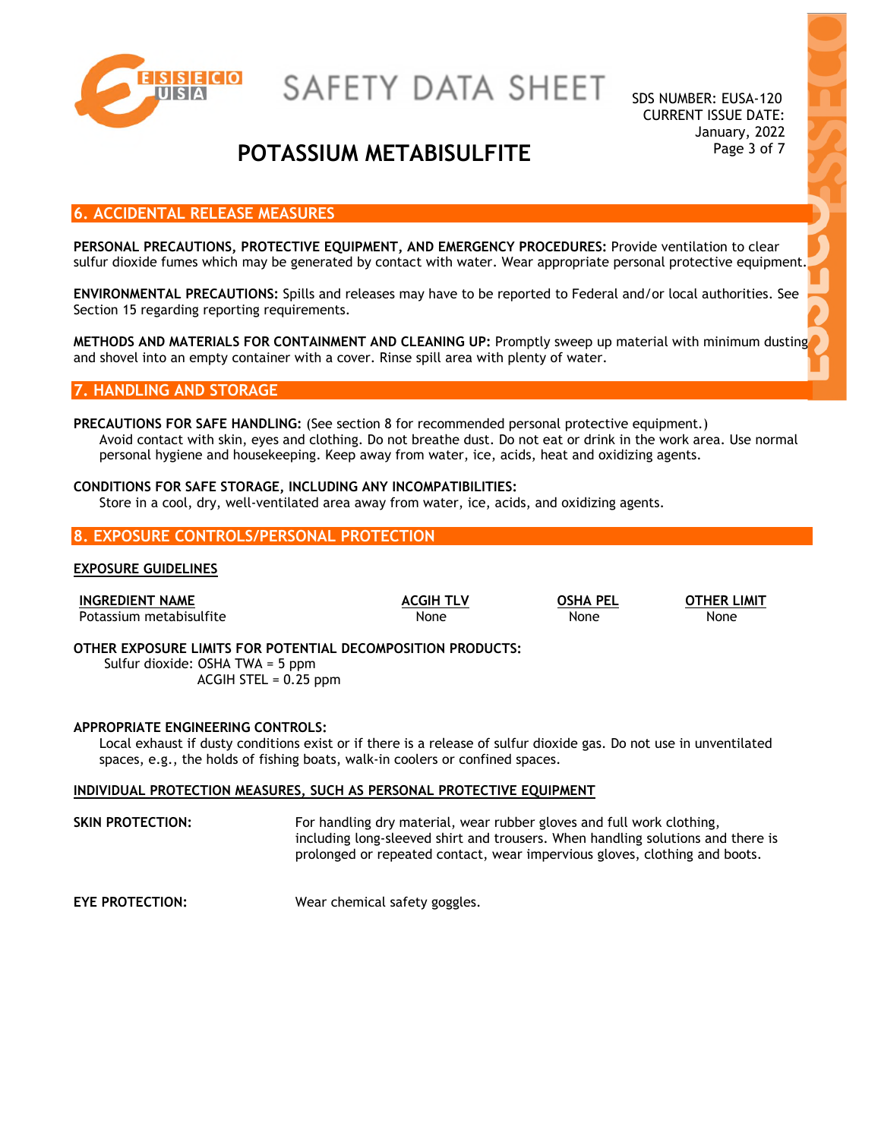

SDS NUMBER: EUSA-120 CURRENT ISSUE DATE: January, 2022

## **POTASSIUM METABISULFITE** Page 3 of 7

#### **6. ACCIDENTAL RELEASE MEASURES**

**PERSONAL PRECAUTIONS, PROTECTIVE EQUIPMENT, AND EMERGENCY PROCEDURES:** Provide ventilation to clear sulfur dioxide fumes which may be generated by contact with water. Wear appropriate personal protective equipment.

**ENVIRONMENTAL PRECAUTIONS:** Spills and releases may have to be reported to Federal and/or local authorities. See Section 15 regarding reporting requirements.

**METHODS AND MATERIALS FOR CONTAINMENT AND CLEANING UP:** Promptly sweep up material with minimum dusting and shovel into an empty container with a cover. Rinse spill area with plenty of water.

#### **7. HANDLING AND STORAGE**

**PRECAUTIONS FOR SAFE HANDLING:** (See section 8 for recommended personal protective equipment.) Avoid contact with skin, eyes and clothing. Do not breathe dust. Do not eat or drink in the work area. Use normal personal hygiene and housekeeping. Keep away from water, ice, acids, heat and oxidizing agents.

#### **CONDITIONS FOR SAFE STORAGE, INCLUDING ANY INCOMPATIBILITIES:**

Store in a cool, dry, well-ventilated area away from water, ice, acids, and oxidizing agents.

#### **8. EXPOSURE CONTROLS/PERSONAL PROTECTION**

#### **EXPOSURE GUIDELINES**

**INGREDIENT NAME ACGIH TLV OSHA PEL OTHER LIMIT** Potassium metabisulfite None None None None None None

**OTHER EXPOSURE LIMITS FOR POTENTIAL DECOMPOSITION PRODUCTS:** Sulfur dioxide: OSHA TWA = 5 ppm ACGIH STEL = 0.25 ppm

#### **APPROPRIATE ENGINEERING CONTROLS:**

Local exhaust if dusty conditions exist or if there is a release of sulfur dioxide gas. Do not use in unventilated spaces, e.g., the holds of fishing boats, walk-in coolers or confined spaces.

#### **INDIVIDUAL PROTECTION MEASURES, SUCH AS PERSONAL PROTECTIVE EQUIPMENT**

**SKIN PROTECTION:** For handling dry material, wear rubber gloves and full work clothing, including long-sleeved shirt and trousers. When handling solutions and there is prolonged or repeated contact, wear impervious gloves, clothing and boots.

**EYE PROTECTION:** Wear chemical safety goggles.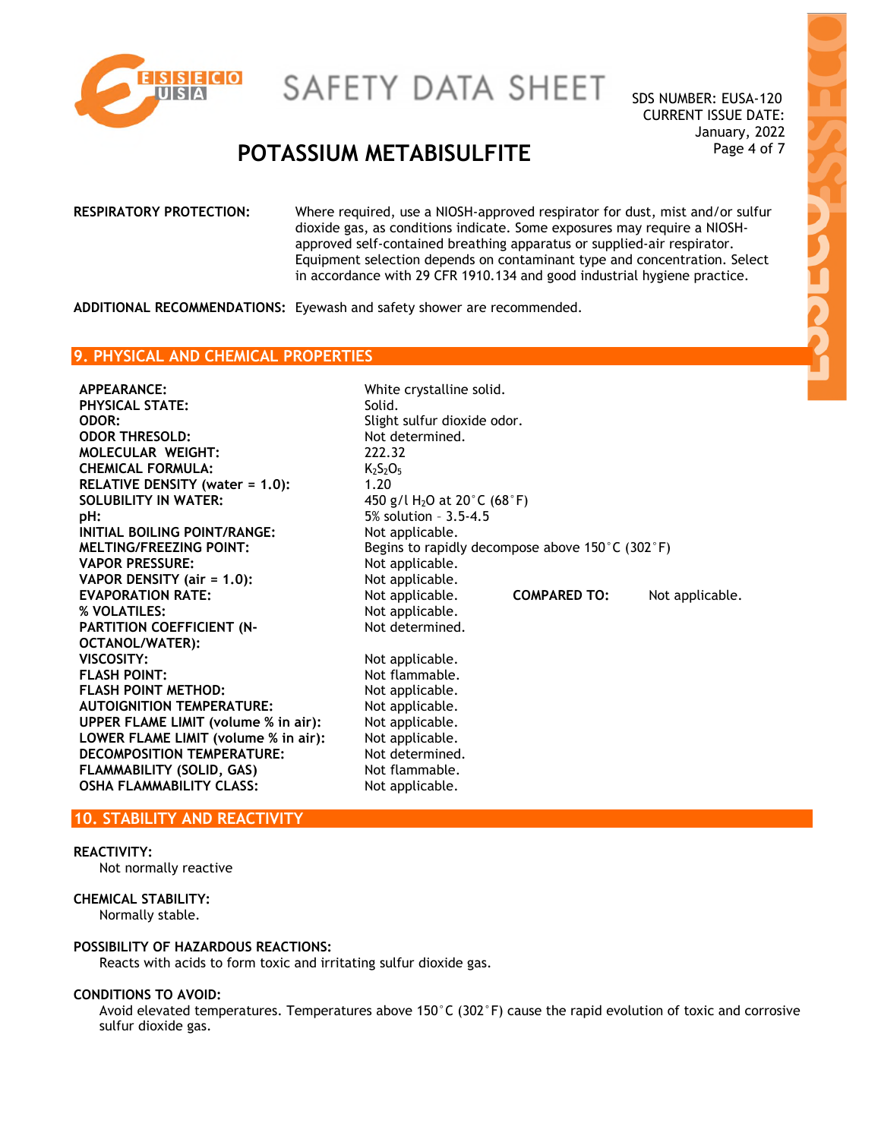

SDS NUMBER: EUSA-120 CURRENT ISSUE DATE: January, 2022

## **POTASSIUM METABISULFITE** Page 4 of 7

**RESPIRATORY PROTECTION:** Where required, use a NIOSH-approved respirator for dust, mist and/or sulfur dioxide gas, as conditions indicate. Some exposures may require a NIOSHapproved self-contained breathing apparatus or supplied-air respirator. Equipment selection depends on contaminant type and concentration. Select in accordance with 29 CFR 1910.134 and good industrial hygiene practice.

**ADDITIONAL RECOMMENDATIONS:** Eyewash and safety shower are recommended.

#### **9. PHYSICAL AND CHEMICAL PROPERTIES**

**APPEARANCE:** White crystalline solid. PHYSICAL STATE: Solid. **ODOR:** Slight sulfur dioxide odor. **ODOR THRESOLD:** Not determined.<br>
MOLECULAR WEIGHT: 222.32 **MOLECULAR WEIGHT:** CHEMICAL FORMULA: K<sub>2</sub>S<sub>2</sub>O<sub>5</sub> **RELATIVE DENSITY (water = 1.0):** 1.20<br>**SOLUBILITY IN WATER:** 450 s **SOLUBILITY IN WATER:** 450 g/l H<sub>2</sub>O at 20°C (68°F)<br> **pH:** 5% solution - 3.5-4.5 **INITIAL BOILING POINT/RANGE:** Not applicable.<br> **MELTING/FREEZING POINT:** Begins to rapidl **VAPOR PRESSURE:** Not applicable. **VAPOR DENSITY (air = 1.0):** Not applicable. **% VOLATILES:** Not applicable. **PARTITION COEFFICIENT (N-OCTANOL/WATER): VISCOSITY:** Not applicable. **FLASH POINT:** Not flammable. **FLASH POINT METHOD:** Not applicable. **AUTOIGNITION TEMPERATURE:** Not applicable. **UPPER FLAME LIMIT (volume % in air):** Not applicable. LOWER FLAME LIMIT (volume % in air): Not applicable. **DECOMPOSITION TEMPERATURE:** Not determined. **FLAMMABILITY (SOLID, GAS)** Not flammable. **OSHA FLAMMABILITY CLASS:** Not applicable.

# **pH:** 5% solution – 3.5-4.5 Begins to rapidly decompose above 150°C (302°F) **EVAPORATION RATE:** Not applicable. **COMPARED TO:** Not applicable. Not determined.

#### **10. STABILITY AND REACTIVITY**

**REACTIVITY:** 

Not normally reactive

#### **CHEMICAL STABILITY:**

Normally stable.

#### **POSSIBILITY OF HAZARDOUS REACTIONS:**

Reacts with acids to form toxic and irritating sulfur dioxide gas.

#### **CONDITIONS TO AVOID:**

Avoid elevated temperatures. Temperatures above 150 $^{\circ}$ C (302 $^{\circ}$ F) cause the rapid evolution of toxic and corrosive sulfur dioxide gas.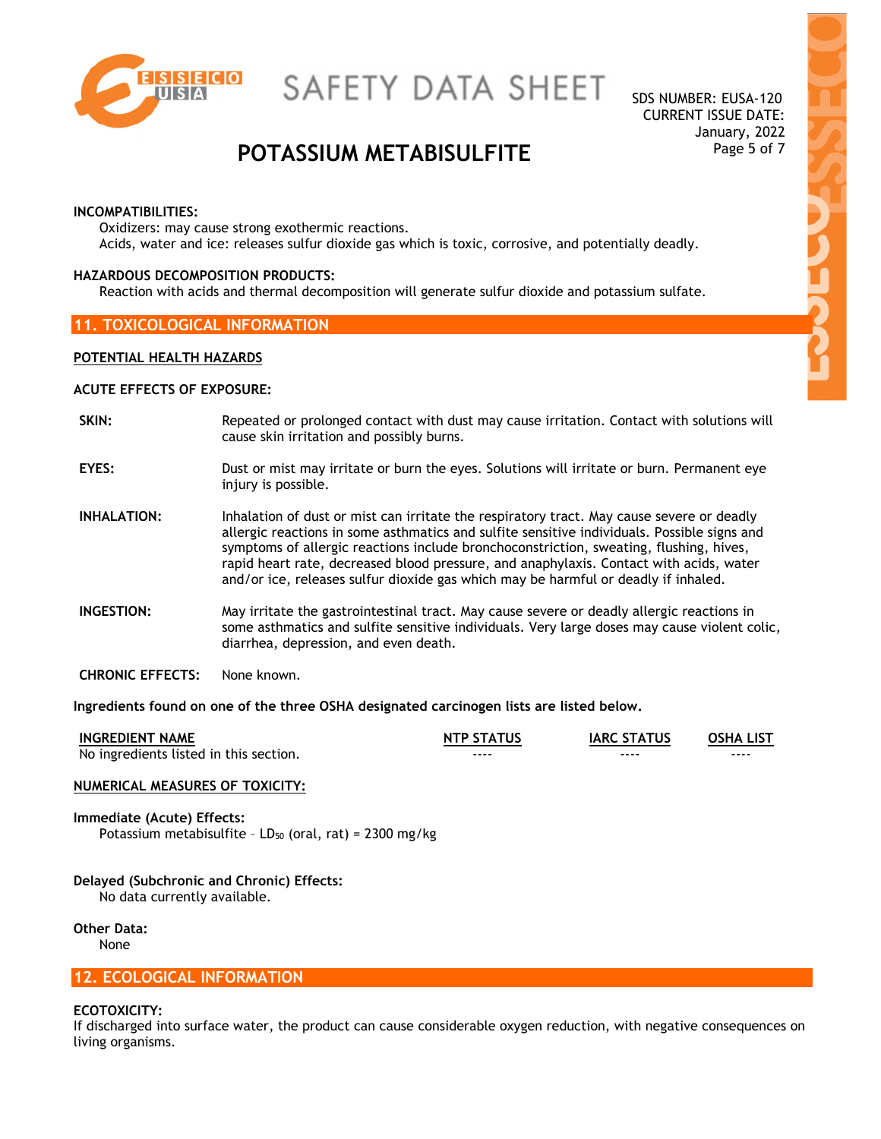

SDS NUMBER: EUSA-120 CURRENT ISSUE DATE: January, 2022

## **POTASSIUM METABISULFITE** Page 5 of 7

#### **INCOMPATIBILITIES:**

Oxidizers: may cause strong exothermic reactions. Acids, water and ice: releases sulfur dioxide gas which is toxic, corrosive, and potentially deadly.

#### **HAZARDOUS DECOMPOSITION PRODUCTS:**

Reaction with acids and thermal decomposition will generate sulfur dioxide and potassium sulfate.

#### **11. TOXICOLOGICAL INFORMATION**

#### **POTENTIAL HEALTH HAZARDS**

#### **ACUTE EFFECTS OF EXPOSURE:**

- **SKIN:** Repeated or prolonged contact with dust may cause irritation. Contact with solutions will cause skin irritation and possibly burns.
- **EYES:** Dust or mist may irritate or burn the eyes. Solutions will irritate or burn. Permanent eye injury is possible.
- **INHALATION:** Inhalation of dust or mist can irritate the respiratory tract. May cause severe or deadly allergic reactions in some asthmatics and sulfite sensitive individuals. Possible signs and symptoms of allergic reactions include bronchoconstriction, sweating, flushing, hives, rapid heart rate, decreased blood pressure, and anaphylaxis. Contact with acids, water and/or ice, releases sulfur dioxide gas which may be harmful or deadly if inhaled.
- **INGESTION:** May irritate the gastrointestinal tract. May cause severe or deadly allergic reactions in some asthmatics and sulfite sensitive individuals. Very large doses may cause violent colic, diarrhea, depression, and even death.
- **CHRONIC EFFECTS:** None known.

#### **Ingredients found on one of the three OSHA designated carcinogen lists are listed below.**

| <b>INGREDIENT NAME</b>                 | <b>NTP STATUS</b> | <b>IARC STATUS</b> | <b>OSHA LIST</b> |
|----------------------------------------|-------------------|--------------------|------------------|
| No ingredients listed in this section. | ----              | ----               | ----             |

#### **NUMERICAL MEASURES OF TOXICITY:**

**Immediate (Acute) Effects:**  Potassium metabisulfite -  $LD_{50}$  (oral, rat) = 2300 mg/kg

### **Delayed (Subchronic and Chronic) Effects:**

No data currently available.

**Other Data:** 

None

#### **12. ECOLOGICAL INFORMATION**

#### **ECOTOXICITY:**

If discharged into surface water, the product can cause considerable oxygen reduction, with negative consequences on living organisms.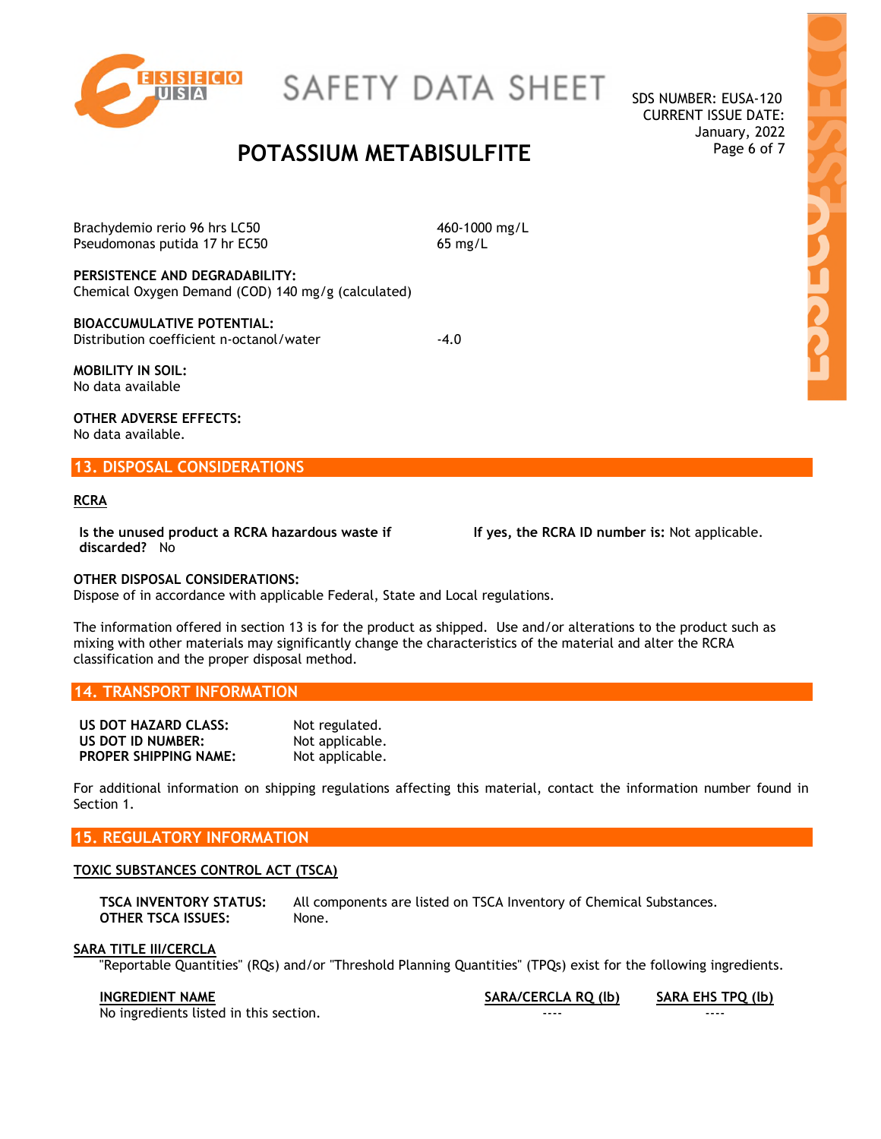

SAFETY DATA SHEET

## **POTASSIUM METABISULFITE** Page 6 of 7

SDS NUMBER: EUSA-120 CURRENT ISSUE DATE: January, 2022

Brachydemio rerio 96 hrs LC50 460-1000 mg/L Pseudomonas putida 17 hr EC50 65 mg/L

**PERSISTENCE AND DEGRADABILITY:**  Chemical Oxygen Demand (COD) 140 mg/g (calculated)

**BIOACCUMULATIVE POTENTIAL:**  Distribution coefficient n-octanol/water -4.0

**MOBILITY IN SOIL:**  No data available

**OTHER ADVERSE EFFECTS:**  No data available.

**13. DISPOSAL CONSIDERATIONS** 

#### **RCRA**

**Is the unused product a RCRA hazardous waste if discarded?** No

**If yes, the RCRA ID number is:** Not applicable.

#### **OTHER DISPOSAL CONSIDERATIONS:**

Dispose of in accordance with applicable Federal, State and Local regulations.

The information offered in section 13 is for the product as shipped. Use and/or alterations to the product such as mixing with other materials may significantly change the characteristics of the material and alter the RCRA classification and the proper disposal method.

#### **14. TRANSPORT INFORMATION**

| US DOT HAZARD CLASS:         | Not regulated.  |
|------------------------------|-----------------|
| US DOT ID NUMBER:            | Not applicable. |
| <b>PROPER SHIPPING NAME:</b> | Not applicable. |

For additional information on shipping regulations affecting this material, contact the information number found in Section 1.

#### **15. REGULATORY INFORMATION**

#### **TOXIC SUBSTANCES CONTROL ACT (TSCA)**

**TSCA INVENTORY STATUS:** All components are listed on TSCA Inventory of Chemical Substances. **OTHER TSCA ISSUES:** None.

#### **SARA TITLE III/CERCLA**

"Reportable Quantities" (RQs) and/or "Threshold Planning Quantities" (TPQs) exist for the following ingredients.

No ingredients listed in this section.

**INGREDIENT NAME SARA/CERCLA RQ (lb) SARA EHS TPQ (lb)**